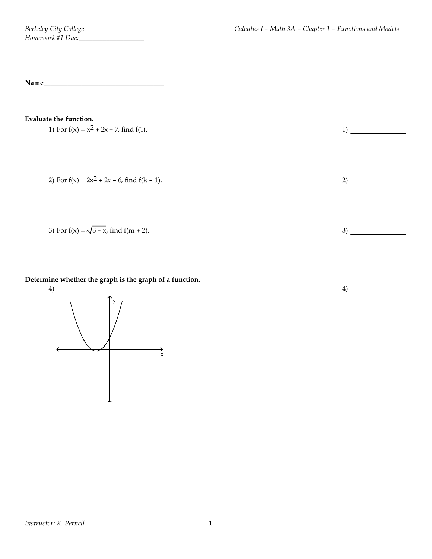**Name\_\_\_\_\_\_\_\_\_\_\_\_\_\_\_\_\_\_\_\_\_\_\_\_\_\_\_\_\_\_\_\_\_\_\_**

## **Evaluate the function.**

1) For 
$$
f(x) = x^2 + 2x - 7
$$
, find  $f(1)$ .

2) For  $f(x) = 2x^2 + 2x - 6$ , find  $f(k - 1)$ . 2)

3) For 
$$
f(x) = \sqrt{3-x}
$$
, find  $f(m + 2)$ .

**Determine whether the graph is the graph of a function.**

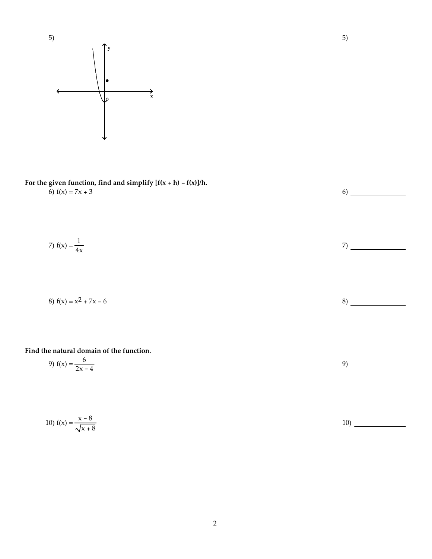

**For the given function, find and simplify [f(x + h) - f(x)]/h.** 6)  $f(x) = 7x + 3$  6)

7) 
$$
f(x) = \frac{1}{4x}
$$
 7)

8) 
$$
f(x) = x^2 + 7x - 6
$$

## **Find the natural domain of the function.**

9) 
$$
f(x) = \frac{6}{2x - 4}
$$

10) 
$$
f(x) = \frac{x - 8}{\sqrt{x + 8}}
$$

2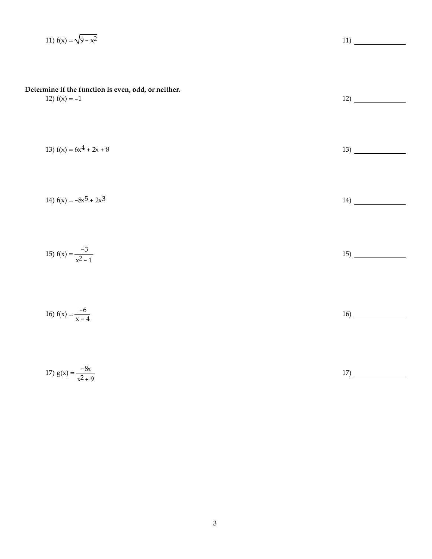11) 
$$
f(x) = \sqrt{9 - x^2}
$$
  
\n11)  $\underline{\hspace{1cm}}$   
\nDetermine if the function is even, odd, or neither.  
\n12)  $f(x) = -1$   
\n13)  $f(x) = 6x^4 + 2x + 8$   
\n14)  $f(x) = -8x^5 + 2x^3$   
\n15)  $f(x) = \frac{-3}{x^2 - 1}$   
\n16)  $f(x) = \frac{-6}{x - 4}$   
\n17)  $g(x) = \frac{-6}{x^2 + 9}$   
\n18)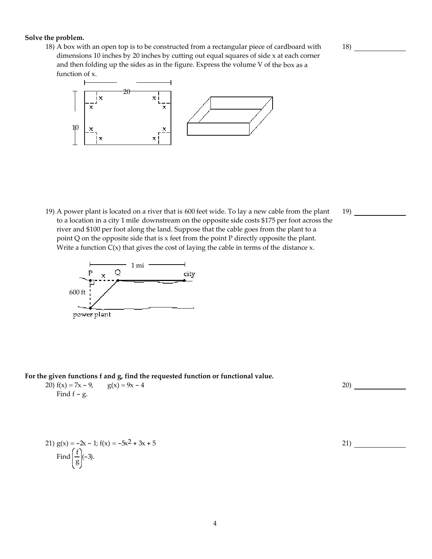### **Solve the problem.**

18) A box with an open top is to be constructed from a rectangular piece of cardboard with dimensions 10 inches by 20 inches by cutting out equal squares of side x at each corner and then folding up the sides as in the figure. Express the volume V of the box as a function of x.



19) A power plant is located on a river that is 600 feet wide. To lay a new cable from the plant to a location in a city 1 mile downstream on the opposite side costs \$175 per foot across the river and \$100 per foot along the land. Suppose that the cable goes from the plant to a point Q on the opposite side that is x feet from the point P directly opposite the plant. Write a function  $C(x)$  that gives the cost of laying the cable in terms of the distance x.



**For the given functions f and g, find the requested function or functional value.**

| 20) $f(x) = 7x - 9$ , | $g(x) = 9x - 4$ |
|-----------------------|-----------------|
| Find $f - g$ .        |                 |

21) 
$$
g(x) = -2x - 1
$$
;  $f(x) = -5x^2 + 3x + 5$   
Find  $\left(\frac{f}{g}\right)(-3)$ .

20)

19)

21)

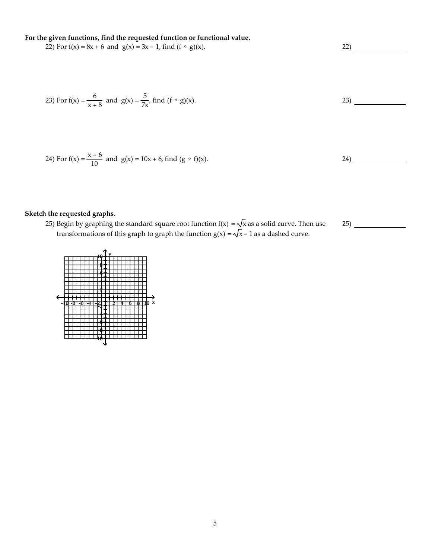**For the given functions, find the requested function or functional value.**

22) For  $f(x) = 8x + 6$  and  $g(x) = 3x - 1$ , find  $(f \circ g)(x)$ . 22)

23) For f(x) = 
$$
\frac{6}{x+8}
$$
 and g(x) =  $\frac{5}{7x}$ , find (f  $\circ$  g)(x).

24) For f(x) = 
$$
\frac{x-6}{10}
$$
 and g(x) = 10x + 6, find (g  $\circ$  f)(x).

**Sketch the requested graphs.**

25) Begin by graphing the standard square root function f(x)  $=\sqrt{x}$  as a solid curve. Then use transformations of this graph to graph the function g(x) =  $\sqrt{x}$  – 1 as a dashed curve.

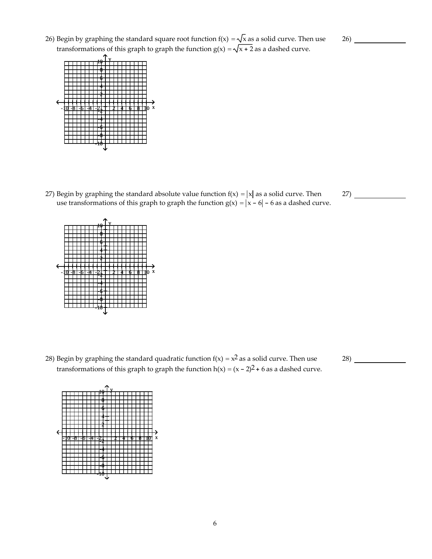6

26) Begin by graphing the standard square root function  $f(x) = \sqrt{x}$  as a solid curve. Then use transformations of this graph to graph the function  $g(x) = \sqrt{x + 2}$  as a dashed curve.

27) Begin by graphing the standard absolute value function  $f(x) = |x|$  as a solid curve. Then use transformations of this graph to graph the function  $g(x) = |x - 6| - 6$  as a dashed curve.

- 28) Begin by graphing the standard quadratic function  $f(x) = x^2$  as a solid curve. Then use
- - transformations of this graph to graph the function  $h(x) = (x 2)^2 + 6$  as a dashed curve.

 $10 + Y$ 8 6 4 2

-1<u>0 -8 -6 -4 -21 + + + + + + + + + + + +</u>

-10 -8 -6 -4 -2 2 4 6 8 10 x

-2 -4 -6 -8 -10

-2 -4 -6 -8 -10





26)

27)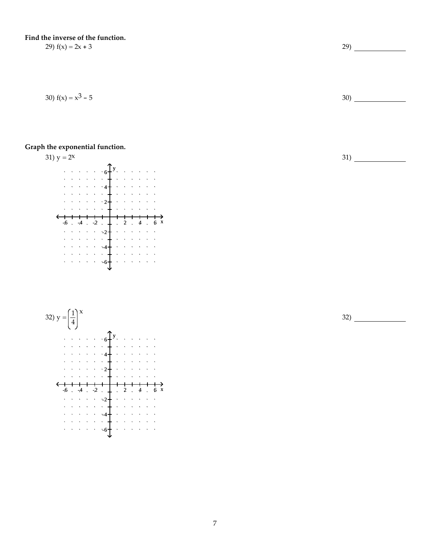**Find the inverse of the function.**

## **Graph the exponential function.**





29)  $f(x) = 2x + 3$  29)

30)  $f(x) = x^3 - 5$  30)

31)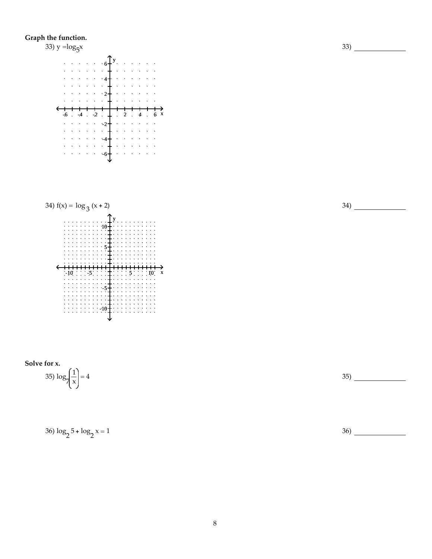## **Graph the function.**



**Solve for x.**

$$
35)\log_{7}\left(\frac{1}{x}\right) = 4\tag{35}
$$

$$
36) \log_2 5 + \log_2 x = 1
$$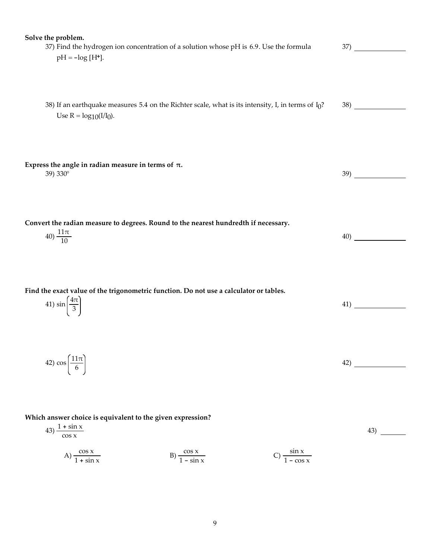| Solve the problem.                                                                                    |     |
|-------------------------------------------------------------------------------------------------------|-----|
| 37) Find the hydrogen ion concentration of a solution whose pH is 6.9. Use the formula                | 37) |
| $pH = -log[H^+].$                                                                                     |     |
|                                                                                                       |     |
|                                                                                                       |     |
|                                                                                                       |     |
|                                                                                                       |     |
|                                                                                                       |     |
| 38) If an earthquake measures 5.4 on the Richter scale, what is its intensity, I, in terms of $I_0$ ? | 38) |
| Use $R = log_{10}(I/I_0)$ .                                                                           |     |
|                                                                                                       |     |
|                                                                                                       |     |
|                                                                                                       |     |
|                                                                                                       |     |
|                                                                                                       |     |
| Express the angle in radian measure in terms of $\pi$ .                                               |     |
| 39) 330°                                                                                              | 39) |
|                                                                                                       |     |
|                                                                                                       |     |
|                                                                                                       |     |
|                                                                                                       |     |
|                                                                                                       |     |
| Convert the radian measure to degrees. Round to the nearest hundredth if necessary.                   |     |
| 40) $\frac{11\pi}{10}$                                                                                | 40) |
|                                                                                                       |     |
|                                                                                                       |     |
|                                                                                                       |     |
|                                                                                                       |     |
|                                                                                                       |     |
|                                                                                                       |     |
| Find the exact value of the trigonometric function. Do not use a calculator or tables.                |     |
|                                                                                                       |     |
| 41) $\sin\left(\frac{4\pi}{3}\right)$                                                                 | 41) |
|                                                                                                       |     |
|                                                                                                       |     |
|                                                                                                       |     |
|                                                                                                       |     |
|                                                                                                       |     |
| 42) $\cos\left(\frac{11\pi}{6}\right)$                                                                | 42) |
|                                                                                                       |     |
|                                                                                                       |     |
|                                                                                                       |     |
|                                                                                                       |     |
|                                                                                                       |     |
|                                                                                                       |     |
| Which answer choice is equivalent to the given expression?                                            |     |
| $43) \frac{1 + \sin x}{\cos x}$                                                                       | 43) |
|                                                                                                       |     |
|                                                                                                       |     |
|                                                                                                       |     |
| C) $\frac{\sin x}{1 - \cos x}$<br>A) $\frac{\cos x}{1 + \sin x}$<br>B) $\frac{\cos x}{1 - \sin x}$    |     |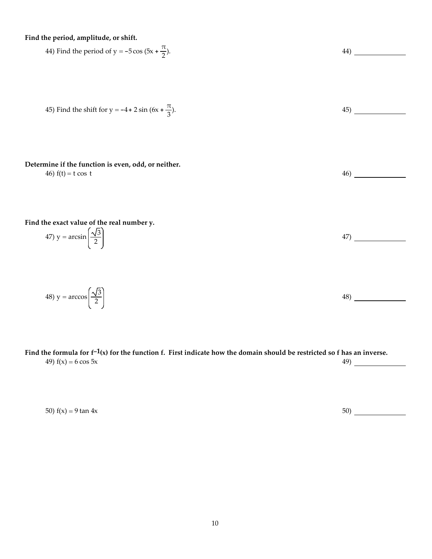**Find the period, amplitude, or shift.**

144) Find the period of 
$$
y = -5\cos(5x + \frac{\pi}{2})
$$
.

\n45) Find the shift for  $y = -4 + 2\sin(6x + \frac{\pi}{3})$ .

\n165. Find the shift for  $y = -4 + 2\sin(6x + \frac{\pi}{3})$ .

\n166. The formula is  $y = -4 + 2\sin(6x + \frac{\pi}{3})$ .

\n167. Find the exact value of the real number  $y$ .

\n168. The result is  $y = \arcsin\left(\frac{\sqrt{3}}{2}\right)$ .

\n169. The result is  $y = \arcsin\left(\frac{\sqrt{3}}{2}\right)$ .

\n160. The result is  $y = \arcsin\left(\frac{\sqrt{3}}{2}\right)$ .

\n161. The result is  $y = \arcsin\left(\frac{\sqrt{3}}{2}\right)$ .

\n163. The result is  $y = \arccos\left(\frac{\sqrt{3}}{2}\right)$ .

\n164. The result is  $y = \arcsin\left(\frac{\sqrt{3}}{2}\right)$ .

\n165. The result is  $y = \arcsin\left(\frac{\sqrt{3}}{2}\right)$ .

\n166. The result is  $y = \arcsin\left(\frac{\sqrt{3}}{2}\right)$ .

\n167. The result is  $y = \arcsin\left(\frac{\sqrt{3}}{2}\right)$ .

\n168. The result is  $y = \arcsin\left(\frac{\sqrt{3}}{2}\right)$ .

\n169. The result is  $y = \arcsin\left(\frac{\sqrt{3}}{2}\right)$ .

\n160. The result is  $y = \arcsin\left(\frac{\sqrt{3}}{2}\right)$ .

\n161. The result is  $y = \arcsin\left(\frac{\sqrt{3}}{2}\right)$ .

\n163. The result is  $y = \arcsin\left(\frac{\sqrt{3}}{2}\right)$ .

\n164. The result is  $y = \arcsin\left(\frac{\sqrt{3}}{2}\right)$ .

\n165. The result is  $y = \arcsin\left(\frac{\sqrt{3}}{2}\right)$ .

\n166. The result is  $y = \arcsin\left$ 

Find the formula for  $f^{-1}(x)$  for the function f. First indicate how the domain should be restricted so f has an inverse.<br>49)  $f(x) = 6 \cos 5x$  49) 49)  $f(x) = 6 \cos 5x$ 

50)  $f(x) = 9 \tan 4x$  50)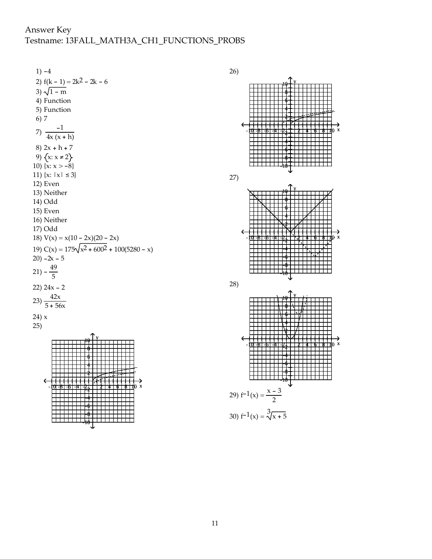# Answer Key Testname: 13FALL\_MATH3A\_CH1\_FUNCTIONS\_PROBS

 $1) -4$ 2)  $f(k - 1) = 2k^2 - 2k - 6$ 3)  $\sqrt{1 - m}$ 4) Function 5) Function 6) 7 7)  $\frac{-1}{4x(x+h)}$ 8)  $2x + h + 7$ 9)  $\{x: x ≠ 2\}$ 10)  $\{x: x > -8\}$ 11)  $\{x: |x| \le 3\}$ 12) Even 13) Neither 14) Odd 15) Even 16) Neither 17) Odd 18)  $V(x) = x(10 - 2x)(20 - 2x)$ 19)  $C(x) = 175\sqrt{x^2 + 600^2} + 100(5280 - x)$  $20) -2x - 5$ 21)  $-\frac{49}{5}$ 22)  $24x - 2$ 23)  $\frac{42x}{5 + 56x}$ 24) x 25) -1<u>0 -8 -6 -4 -2 + + + + + + + + + + + + +</u>  $10 + \frac{1}{2}$ 8 6 4 2 -2 -4 -6 -8 -10 26) -10 -8 -6 -4 -2 2 4 6 8 10 x  $10$   $\frac{1}{1}$ 8 6 4 2 -2 -4 -6 -8 -10 27) -10 -8 -6 -4 -2 2 4 6 8 10 x  $10 + Y$ 8 6 4 2 -2 -4 -6 -8 -10 28) -1<u>0 -8 -6 -4 -21 + + + + + + + + + + + + +</u>  $10<sup>1</sup>$ 8 6 4 2 -2 -4 -6 -8 -10 29)  $f^{-1}(x) = \frac{x-3}{2}$ 30)  $f^{-1}(x) = \sqrt[3]{x+5}$